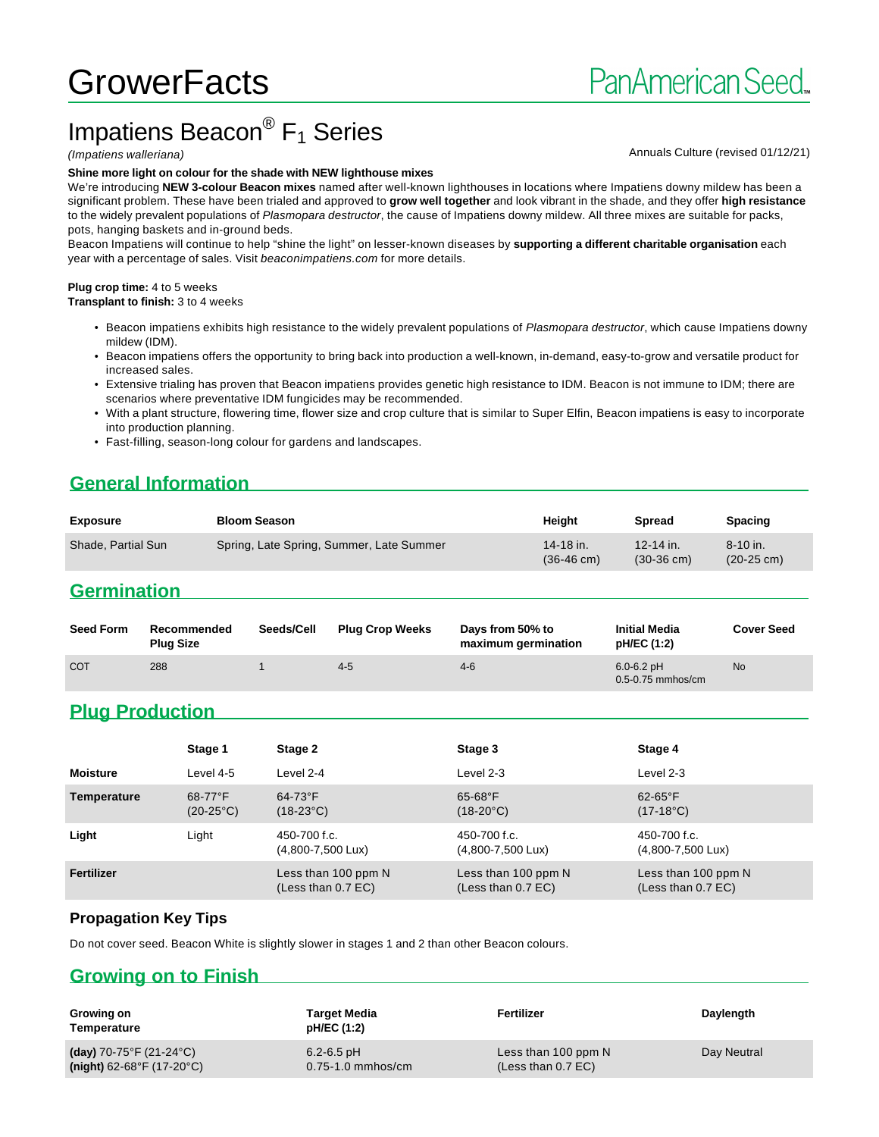# **GrowerFacts**

## Impatiens Beacon<sup>®</sup> F<sub>1</sub> Series

#### **Shine more light on colour for the shade with NEW lighthouse mixes**

We're introducing **NEW 3-colour Beacon mixes** named after well-known lighthouses in locations where Impatiens downy mildew has been a significant problem. These have been trialed and approved to **grow well together** and look vibrant in the shade, and they offer **high resistance** to the widely prevalent populations of Plasmopara destructor, the cause of Impatiens downy mildew. All three mixes are suitable for packs, pots, hanging baskets and in-ground beds.

Beacon Impatiens will continue to help "shine the light" on lesser-known diseases by **supporting a different charitable organisation** each year with a percentage of sales. Visit beaconimpatiens.com for more details.

#### **Plug crop time:** 4 to 5 weeks

**Transplant to finish:** 3 to 4 weeks

- Beacon impatiens exhibits high resistance to the widely prevalent populations of Plasmopara destructor, which cause Impatiens downy mildew (IDM).
- Beacon impatiens offers the opportunity to bring back into production a well-known, in-demand, easy-to-grow and versatile product for increased sales.
- Extensive trialing has proven that Beacon impatiens provides genetic high resistance to IDM. Beacon is not immune to IDM; there are scenarios where preventative IDM fungicides may be recommended.
- With a plant structure, flowering time, flower size and crop culture that is similar to Super Elfin, Beacon impatiens is easy to incorporate into production planning.
- Fast-filling, season-long colour for gardens and landscapes.

## **General Information**

| Exposure           | <b>Bloom Season</b>                      | Heiaht                            | Spread                            | <b>Spacing</b>                       |
|--------------------|------------------------------------------|-----------------------------------|-----------------------------------|--------------------------------------|
| Shade, Partial Sun | Spring, Late Spring, Summer, Late Summer | 14-18 in.<br>$(36-46 \text{ cm})$ | 12-14 in.<br>$(30-36 \text{ cm})$ | $8 - 10$ in.<br>$(20-25 \text{ cm})$ |

#### **Germination**

| <b>Seed Form</b> | Recommended<br><b>Plug Size</b> | Seeds/Cell | <b>Plug Crop Weeks</b> | Days from 50% to<br>maximum germination | <b>Initial Media</b><br>pH/EC (1:2)     | <b>Cover Seed</b> |
|------------------|---------------------------------|------------|------------------------|-----------------------------------------|-----------------------------------------|-------------------|
| <b>COT</b>       | 288                             |            | $4 - 5$                | $4-6$                                   | $6.0 - 6.2$ pH<br>$0.5 - 0.75$ mmhos/cm | <b>No</b>         |

#### **Plug Production**

|                 | Stage 1                          | Stage 2                                       | Stage 3                                       | Stage 4                                       |
|-----------------|----------------------------------|-----------------------------------------------|-----------------------------------------------|-----------------------------------------------|
| <b>Moisture</b> | Level 4-5                        | Level 2-4                                     | Level 2-3                                     | Level 2-3                                     |
| Temperature     | $68-77$ °F<br>$(20-25^{\circ}C)$ | $64-73$ °F<br>$(18-23^{\circ}C)$              | $65-68$ °F<br>$(18-20^{\circ}C)$              | $62-65$ °F<br>$(17-18^{\circ}C)$              |
| Light           | Light                            | 450-700 f.c.<br>$(4,800 - 7,500 \text{ L}ux)$ | 450-700 f.c.<br>$(4,800 - 7,500 \text{ Lux})$ | 450-700 f.c.<br>$(4,800 - 7,500 \text{ L}ux)$ |
| Fertilizer      |                                  | Less than 100 ppm N<br>(Less than 0.7 EC)     | Less than 100 ppm N<br>(Less than 0.7 EC)     | Less than 100 ppm N<br>(Less than 0.7 EC)     |

#### **Propagation Key Tips**

Do not cover seed. Beacon White is slightly slower in stages 1 and 2 than other Beacon colours.

## **Growing on to Finish**

| Growing on<br>Temperature                | Target Media<br>pH/EC (1:2) | Fertilizer           | Daylength   |
|------------------------------------------|-----------------------------|----------------------|-------------|
| (day) 70-75°F (21-24°C)                  | $6.2 - 6.5$ pH              | Less than 100 ppm N  | Day Neutral |
| (night) $62-68^{\circ}F(17-20^{\circ}C)$ | $0.75 - 1.0$ mmhos/cm       | (Less than $0.7$ EC) |             |

#### (Impatiens walleriana) and the state of the state of the state of the state of the Annuals Culture (revised 01/12/21)